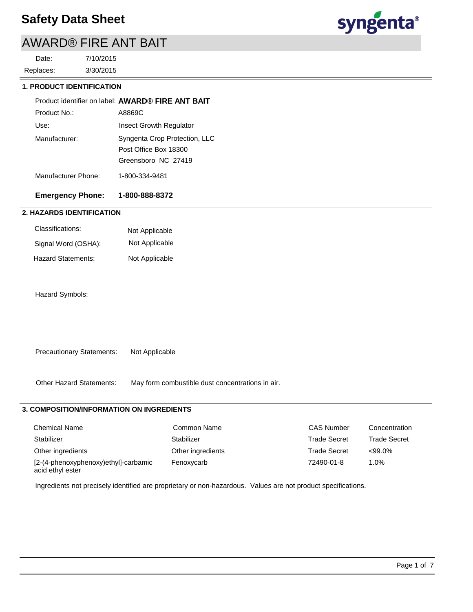# AWARD® FIRE ANT BAIT

3/30/2015 7/10/2015 Replaces: Date:



## **1. PRODUCT IDENTIFICATION**

|                     | Product identifier on label: AWARD® FIRE ANT BAIT                             |
|---------------------|-------------------------------------------------------------------------------|
| Product No.:        | A8869C                                                                        |
| Use:                | Insect Growth Regulator                                                       |
| Manufacturer:       | Syngenta Crop Protection, LLC<br>Post Office Box 18300<br>Greensboro NC 27419 |
| Manufacturer Phone: | 1-800-334-9481                                                                |

## **Emergency Phone: 1-800-888-8372**

## **2. HAZARDS IDENTIFICATION**

| Classifications:    | Not Applicable |
|---------------------|----------------|
| Signal Word (OSHA): | Not Applicable |
| Hazard Statements:  | Not Applicable |

Hazard Symbols:

Precautionary Statements: Not Applicable

Other Hazard Statements: May form combustible dust concentrations in air.

## **3. COMPOSITION/INFORMATION ON INGREDIENTS**

| <b>Chemical Name</b>                                     | Common Name       | <b>CAS Number</b> | Concentration       |
|----------------------------------------------------------|-------------------|-------------------|---------------------|
| Stabilizer                                               | Stabilizer        | Trade Secret      | <b>Trade Secret</b> |
| Other ingredients                                        | Other ingredients | Trade Secret      | $<99.0\%$           |
| [2-(4-phenoxyphenoxy)ethyl]-carbamic<br>acid ethyl ester | Fenoxycarb        | 72490-01-8        | 1.0%                |

Ingredients not precisely identified are proprietary or non-hazardous. Values are not product specifications.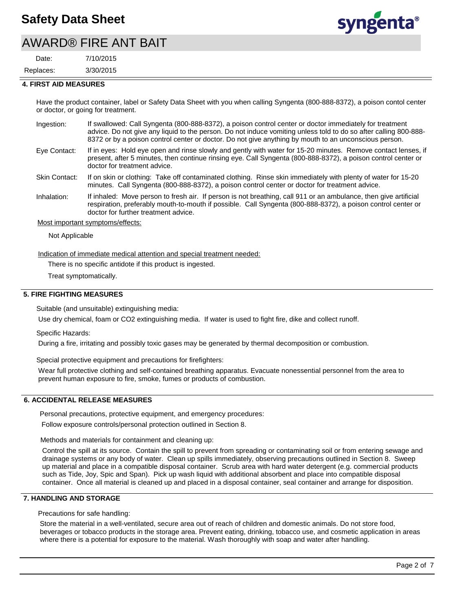## AWARD® FIRE ANT BAIT

3/30/2015 7/10/2015 Replaces: Date:



#### **4. FIRST AID MEASURES**

Have the product container, label or Safety Data Sheet with you when calling Syngenta (800-888-8372), a poison contol center or doctor, or going for treatment.

- If swallowed: Call Syngenta (800-888-8372), a poison control center or doctor immediately for treatment advice. Do not give any liquid to the person. Do not induce vomiting unless told to do so after calling 800-888- 8372 or by a poison control center or doctor. Do not give anything by mouth to an unconscious person. Ingestion:
- If in eyes: Hold eye open and rinse slowly and gently with water for 15-20 minutes. Remove contact lenses, if present, after 5 minutes, then continue rinsing eye. Call Syngenta (800-888-8372), a poison control center or doctor for treatment advice. Eye Contact:
- If on skin or clothing: Take off contaminated clothing. Rinse skin immediately with plenty of water for 15-20 minutes. Call Syngenta (800-888-8372), a poison control center or doctor for treatment advice. Skin Contact:
- If inhaled: Move person to fresh air. If person is not breathing, call 911 or an ambulance, then give artificial respiration, preferably mouth-to-mouth if possible. Call Syngenta (800-888-8372), a poison control center or doctor for further treatment advice. Inhalation:

#### Most important symptoms/effects:

Not Applicable

Indication of immediate medical attention and special treatment needed:

There is no specific antidote if this product is ingested.

Treat symptomatically.

#### **5. FIRE FIGHTING MEASURES**

Suitable (and unsuitable) extinguishing media:

Use dry chemical, foam or CO2 extinguishing media. If water is used to fight fire, dike and collect runoff.

Specific Hazards:

During a fire, irritating and possibly toxic gases may be generated by thermal decomposition or combustion.

Special protective equipment and precautions for firefighters:

Wear full protective clothing and self-contained breathing apparatus. Evacuate nonessential personnel from the area to prevent human exposure to fire, smoke, fumes or products of combustion.

#### **6. ACCIDENTAL RELEASE MEASURES**

Personal precautions, protective equipment, and emergency procedures:

Follow exposure controls/personal protection outlined in Section 8.

Methods and materials for containment and cleaning up:

Control the spill at its source. Contain the spill to prevent from spreading or contaminating soil or from entering sewage and drainage systems or any body of water. Clean up spills immediately, observing precautions outlined in Section 8. Sweep up material and place in a compatible disposal container. Scrub area with hard water detergent (e.g. commercial products such as Tide, Joy, Spic and Span). Pick up wash liquid with additional absorbent and place into compatible disposal container. Once all material is cleaned up and placed in a disposal container, seal container and arrange for disposition.

#### **7. HANDLING AND STORAGE**

Precautions for safe handling:

Store the material in a well-ventilated, secure area out of reach of children and domestic animals. Do not store food, beverages or tobacco products in the storage area. Prevent eating, drinking, tobacco use, and cosmetic application in areas where there is a potential for exposure to the material. Wash thoroughly with soap and water after handling.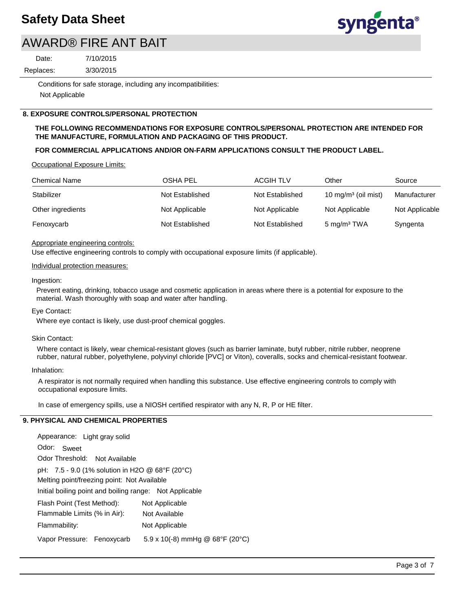

## AWARD® FIRE ANT BAIT

Replaces: Date:

3/30/2015 7/10/2015

Conditions for safe storage, including any incompatibilities: Not Applicable

#### **8. EXPOSURE CONTROLS/PERSONAL PROTECTION**

#### **THE FOLLOWING RECOMMENDATIONS FOR EXPOSURE CONTROLS/PERSONAL PROTECTION ARE INTENDED FOR THE MANUFACTURE, FORMULATION AND PACKAGING OF THIS PRODUCT.**

#### **FOR COMMERCIAL APPLICATIONS AND/OR ON-FARM APPLICATIONS CONSULT THE PRODUCT LABEL.**

Occupational Exposure Limits:

| <b>Chemical Name</b> | OSHA PEL        | <b>ACGIH TLV</b> | Other                           | Source         |
|----------------------|-----------------|------------------|---------------------------------|----------------|
| Stabilizer           | Not Established | Not Established  | 10 mg/m <sup>3</sup> (oil mist) | Manufacturer   |
| Other ingredients    | Not Applicable  | Not Applicable   | Not Applicable                  | Not Applicable |
| Fenoxycarb           | Not Established | Not Established  | 5 mg/m <sup>3</sup> TWA         | Syngenta       |

#### Appropriate engineering controls:

Use effective engineering controls to comply with occupational exposure limits (if applicable).

#### Individual protection measures:

#### Ingestion:

Prevent eating, drinking, tobacco usage and cosmetic application in areas where there is a potential for exposure to the material. Wash thoroughly with soap and water after handling.

#### Eye Contact:

Where eye contact is likely, use dust-proof chemical goggles.

#### Skin Contact:

Where contact is likely, wear chemical-resistant gloves (such as barrier laminate, butyl rubber, nitrile rubber, neoprene rubber, natural rubber, polyethylene, polyvinyl chloride [PVC] or Viton), coveralls, socks and chemical-resistant footwear.

#### Inhalation:

A respirator is not normally required when handling this substance. Use effective engineering controls to comply with occupational exposure limits.

In case of emergency spills, use a NIOSH certified respirator with any N, R, P or HE filter.

#### **9. PHYSICAL AND CHEMICAL PROPERTIES**

| Appearance: Light gray solid                                                                   |                                        |  |  |  |
|------------------------------------------------------------------------------------------------|----------------------------------------|--|--|--|
| Odor:<br>Sweet                                                                                 |                                        |  |  |  |
| Odor Threshold: Not Available                                                                  |                                        |  |  |  |
| pH: 7.5 - 9.0 (1% solution in H2O @ 68°F (20°C)<br>Melting point/freezing point: Not Available |                                        |  |  |  |
| Initial boiling point and boiling range: Not Applicable                                        |                                        |  |  |  |
| Flash Point (Test Method):                                                                     | Not Applicable                         |  |  |  |
| Flammable Limits (% in Air):                                                                   | Not Available                          |  |  |  |
| Flammability:                                                                                  | Not Applicable                         |  |  |  |
| Vapor Pressure: Fenoxycarb                                                                     | $5.9 \times 10(-8)$ mmHg @ 68°F (20°C) |  |  |  |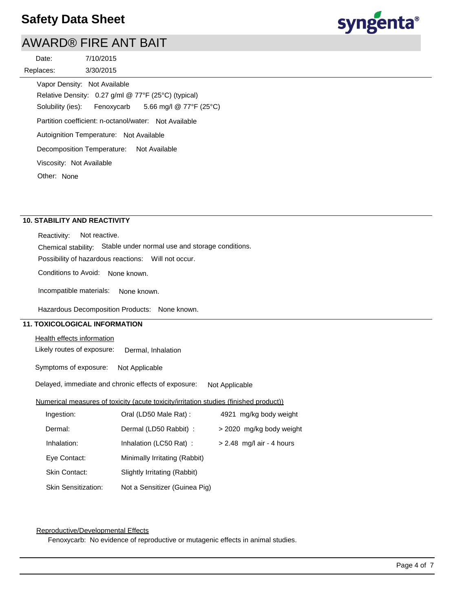# AWARD® FIRE ANT BAIT

| Date:                    | 7/10/2015                                                            |
|--------------------------|----------------------------------------------------------------------|
| Replaces:                | 3/30/2015                                                            |
|                          | Vapor Density: Not Available                                         |
|                          | Relative Density: 0.27 g/ml @ 77°F (25°C) (typical)                  |
|                          | Solubility (ies): Fenoxycarb 5.66 mg/l $@ 77^{\circ}F (25^{\circ}C)$ |
|                          | Partition coefficient: n-octanol/water: Not Available                |
|                          | Autoignition Temperature: Not Available                              |
|                          | Decomposition Temperature: Not Available                             |
| Viscosity: Not Available |                                                                      |
| Other: None              |                                                                      |

## **10. STABILITY AND REACTIVITY**

Reactivity: Not reactive.

Chemical stability: Stable under normal use and storage conditions.

Possibility of hazardous reactions: Will not occur.

Conditions to Avoid: None known.

Incompatible materials: None known.

Hazardous Decomposition Products: None known.

## **11. TOXICOLOGICAL INFORMATION**

#### Health effects information

Likely routes of exposure: Dermal, Inhalation

Symptoms of exposure: Not Applicable

Delayed, immediate and chronic effects of exposure: Not Applicable

#### Numerical measures of toxicity (acute toxicity/irritation studies (finished product))

| Ingestion:                 | Oral (LD50 Male Rat):         | 4921 mg/kg body weight      |
|----------------------------|-------------------------------|-----------------------------|
| Dermal:                    | Dermal (LD50 Rabbit) :        | > 2020 mg/kg body weight    |
| Inhalation:                | Inhalation (LC50 Rat):        | $> 2.48$ mg/l air - 4 hours |
| Eye Contact:               | Minimally Irritating (Rabbit) |                             |
| <b>Skin Contact:</b>       | Slightly Irritating (Rabbit)  |                             |
| <b>Skin Sensitization:</b> | Not a Sensitizer (Guinea Pig) |                             |

#### Reproductive/Developmental Effects

Fenoxycarb: No evidence of reproductive or mutagenic effects in animal studies.

syngenta®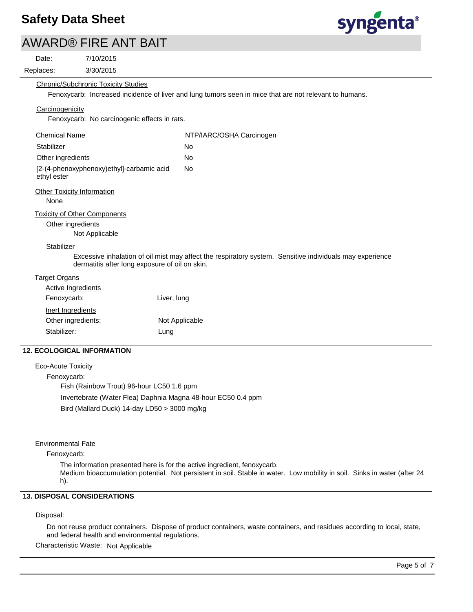# syngenta®

|                      | <b>AWARD® FIRE ANT BAIT</b>                    |                                                                                                          |
|----------------------|------------------------------------------------|----------------------------------------------------------------------------------------------------------|
| Date:                | 7/10/2015                                      |                                                                                                          |
| Replaces:            | 3/30/2015                                      |                                                                                                          |
|                      | <b>Chronic/Subchronic Toxicity Studies</b>     |                                                                                                          |
|                      |                                                | Fenoxycarb: Increased incidence of liver and lung tumors seen in mice that are not relevant to humans.   |
| Carcinogenicity      |                                                |                                                                                                          |
|                      | Fenoxycarb: No carcinogenic effects in rats.   |                                                                                                          |
| <b>Chemical Name</b> |                                                | NTP/IARC/OSHA Carcinogen                                                                                 |
| Stabilizer           |                                                | <b>No</b>                                                                                                |
| Other ingredients    |                                                | <b>No</b>                                                                                                |
| ethyl ester          | [2-(4-phenoxyphenoxy)ethyl]-carbamic acid      | <b>No</b>                                                                                                |
|                      | <b>Other Toxicity Information</b>              |                                                                                                          |
| None                 |                                                |                                                                                                          |
|                      | <b>Toxicity of Other Components</b>            |                                                                                                          |
|                      | Other ingredients                              |                                                                                                          |
|                      | Not Applicable                                 |                                                                                                          |
| Stabilizer           |                                                |                                                                                                          |
|                      | dermatitis after long exposure of oil on skin. | Excessive inhalation of oil mist may affect the respiratory system. Sensitive individuals may experience |
| <b>Target Organs</b> |                                                |                                                                                                          |
|                      | <b>Active Ingredients</b>                      |                                                                                                          |
|                      | Fenoxycarb:                                    | Liver, lung                                                                                              |
|                      | Inert Ingredients                              |                                                                                                          |
|                      | Other ingredients:                             | Not Applicable                                                                                           |
| Stabilizer:          |                                                | Lung                                                                                                     |
|                      |                                                |                                                                                                          |

## **12. ECOLOGICAL INFORMATION**

Eco-Acute Toxicity Fenoxycarb: Fish (Rainbow Trout) 96-hour LC50 1.6 ppm Invertebrate (Water Flea) Daphnia Magna 48-hour EC50 0.4 ppm Bird (Mallard Duck) 14-day LD50 > 3000 mg/kg

#### Environmental Fate

Fenoxycarb:

The information presented here is for the active ingredient, fenoxycarb.

Medium bioaccumulation potential. Not persistent in soil. Stable in water. Low mobility in soil. Sinks in water (after 24 h).

## **13. DISPOSAL CONSIDERATIONS**

#### Disposal:

Do not reuse product containers. Dispose of product containers, waste containers, and residues according to local, state, and federal health and environmental regulations.

Characteristic Waste: Not Applicable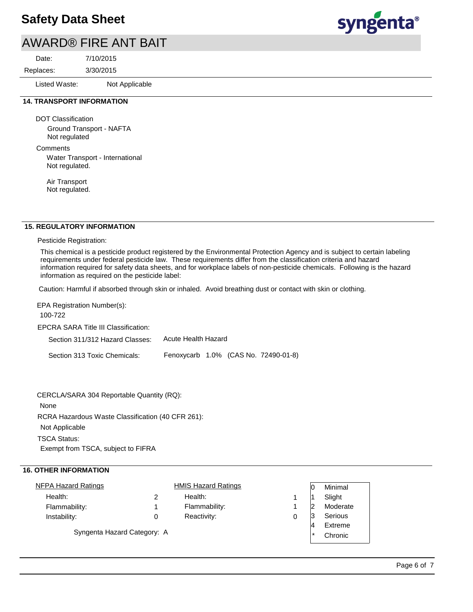# AWARD® FIRE ANT BAIT

3/30/2015 7/10/2015 Replaces: Date:

Listed Waste: Not Applicable

### **14. TRANSPORT INFORMATION**

DOT Classification Ground Transport - NAFTA Not regulated

**Comments** 

Water Transport - International Not regulated.

Air Transport Not regulated.

#### **15. REGULATORY INFORMATION**

Pesticide Registration:

This chemical is a pesticide product registered by the Environmental Protection Agency and is subject to certain labeling requirements under federal pesticide law. These requirements differ from the classification criteria and hazard information required for safety data sheets, and for workplace labels of non-pesticide chemicals. Following is the hazard information as required on the pesticide label:

Caution: Harmful if absorbed through skin or inhaled. Avoid breathing dust or contact with skin or clothing.

EPCRA SARA Title III Classification: Section 311/312 Hazard Classes: Section 313 Toxic Chemicals: EPA Registration Number(s): 100-722 Acute Health Hazard Fenoxycarb 1.0% (CAS No. 72490-01-8)

CERCLA/SARA 304 Reportable Quantity (RQ):

None

RCRA Hazardous Waste Classification (40 CFR 261):

Not Applicable

TSCA Status:

Exempt from TSCA, subject to FIFRA

#### **16. OTHER INFORMATION**

| <b>NFPA Hazard Ratings</b>  |   | <b>HMIS Hazard Ratings</b> |   |        | Minimal  |
|-----------------------------|---|----------------------------|---|--------|----------|
| Health:                     |   | Health:                    |   |        | Slight   |
| Flammability:               |   | Flammability:              |   |        | Moderate |
| Instability:                | 0 | Reactivity:                | 0 | ľЗ     | Serious  |
|                             |   |                            |   |        | Extreme  |
| Syngenta Hazard Category: A |   |                            |   | $\ast$ | Chronic  |
|                             |   |                            |   |        |          |

syngenta®